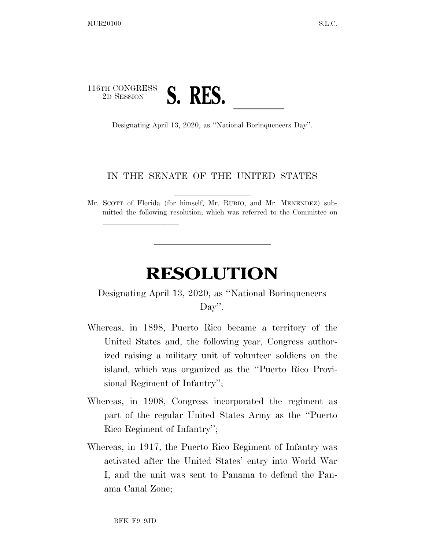## 116TH CONGRESS 2D SESSION **S. RES. lateration** Designating April 13, 2020, as "National Borinqueneers Day".

lla se al constituir a la constituir a la constituir a la constituir a la constituir a la constituir a la cons<br>La constituir a la constituir a la constituir a la constituir a la constituir a la constituir a la constituir

## IN THE SENATE OF THE UNITED STATES

Mr. SCOTT of Florida (for himself, Mr. RUBIO, and Mr. MENENDEZ) submitted the following resolution; which was referred to the Committee on

## **RESOLUTION**

Designating April 13, 2020, as ''National Borinqueneers Day''.

- Whereas, in 1898, Puerto Rico became a territory of the United States and, the following year, Congress authorized raising a military unit of volunteer soldiers on the island, which was organized as the ''Puerto Rico Provisional Regiment of Infantry'';
- Whereas, in 1908, Congress incorporated the regiment as part of the regular United States Army as the ''Puerto Rico Regiment of Infantry'';
- Whereas, in 1917, the Puerto Rico Regiment of Infantry was activated after the United States' entry into World War I, and the unit was sent to Panama to defend the Panama Canal Zone;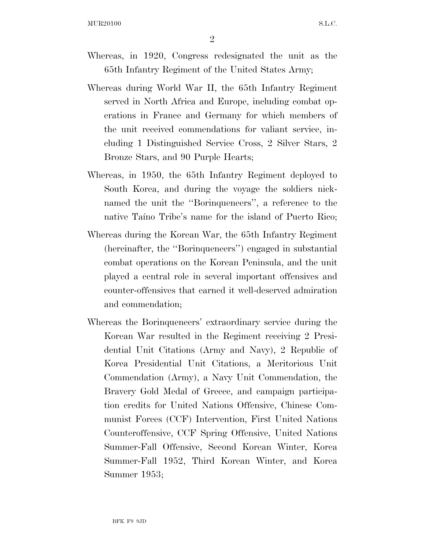- Whereas, in 1920, Congress redesignated the unit as the 65th Infantry Regiment of the United States Army;
- Whereas during World War II, the 65th Infantry Regiment served in North Africa and Europe, including combat operations in France and Germany for which members of the unit received commendations for valiant service, including 1 Distinguished Service Cross, 2 Silver Stars, 2 Bronze Stars, and 90 Purple Hearts;
- Whereas, in 1950, the 65th Infantry Regiment deployed to South Korea, and during the voyage the soldiers nicknamed the unit the ''Borinqueneers'', a reference to the native Taino Tribe's name for the island of Puerto Rico;
- Whereas during the Korean War, the 65th Infantry Regiment (hereinafter, the ''Borinqueneers'') engaged in substantial combat operations on the Korean Peninsula, and the unit played a central role in several important offensives and counter-offensives that earned it well-deserved admiration and commendation;
- Whereas the Borinqueneers' extraordinary service during the Korean War resulted in the Regiment receiving 2 Presidential Unit Citations (Army and Navy), 2 Republic of Korea Presidential Unit Citations, a Meritorious Unit Commendation (Army), a Navy Unit Commendation, the Bravery Gold Medal of Greece, and campaign participation credits for United Nations Offensive, Chinese Communist Forces (CCF) Intervention, First United Nations Counteroffensive, CCF Spring Offensive, United Nations Summer-Fall Offensive, Second Korean Winter, Korea Summer-Fall 1952, Third Korean Winter, and Korea Summer 1953;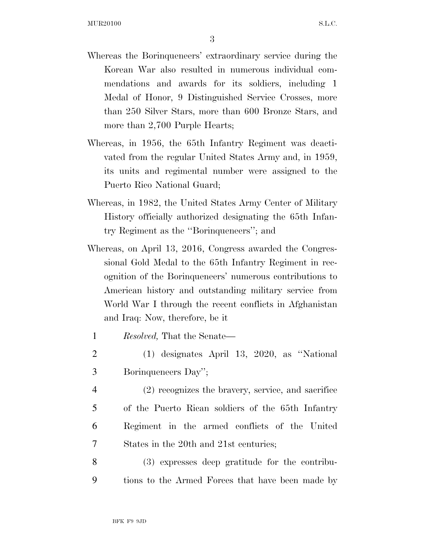3

- Whereas the Borinqueneers' extraordinary service during the Korean War also resulted in numerous individual commendations and awards for its soldiers, including 1 Medal of Honor, 9 Distinguished Service Crosses, more than 250 Silver Stars, more than 600 Bronze Stars, and more than 2,700 Purple Hearts;
- Whereas, in 1956, the 65th Infantry Regiment was deactivated from the regular United States Army and, in 1959, its units and regimental number were assigned to the Puerto Rico National Guard;
- Whereas, in 1982, the United States Army Center of Military History officially authorized designating the 65th Infantry Regiment as the ''Borinqueneers''; and
- Whereas, on April 13, 2016, Congress awarded the Congressional Gold Medal to the 65th Infantry Regiment in recognition of the Borinqueneers' numerous contributions to American history and outstanding military service from World War I through the recent conflicts in Afghanistan and Iraq: Now, therefore, be it
	- 1 *Resolved,* That the Senate—
- 2 (1) designates April 13, 2020, as ''National 3 Borinqueneers Day'';
- 4 (2) recognizes the bravery, service, and sacrifice 5 of the Puerto Rican soldiers of the 65th Infantry 6 Regiment in the armed conflicts of the United 7 States in the 20th and 21st centuries;
- 8 (3) expresses deep gratitude for the contribu-9 tions to the Armed Forces that have been made by